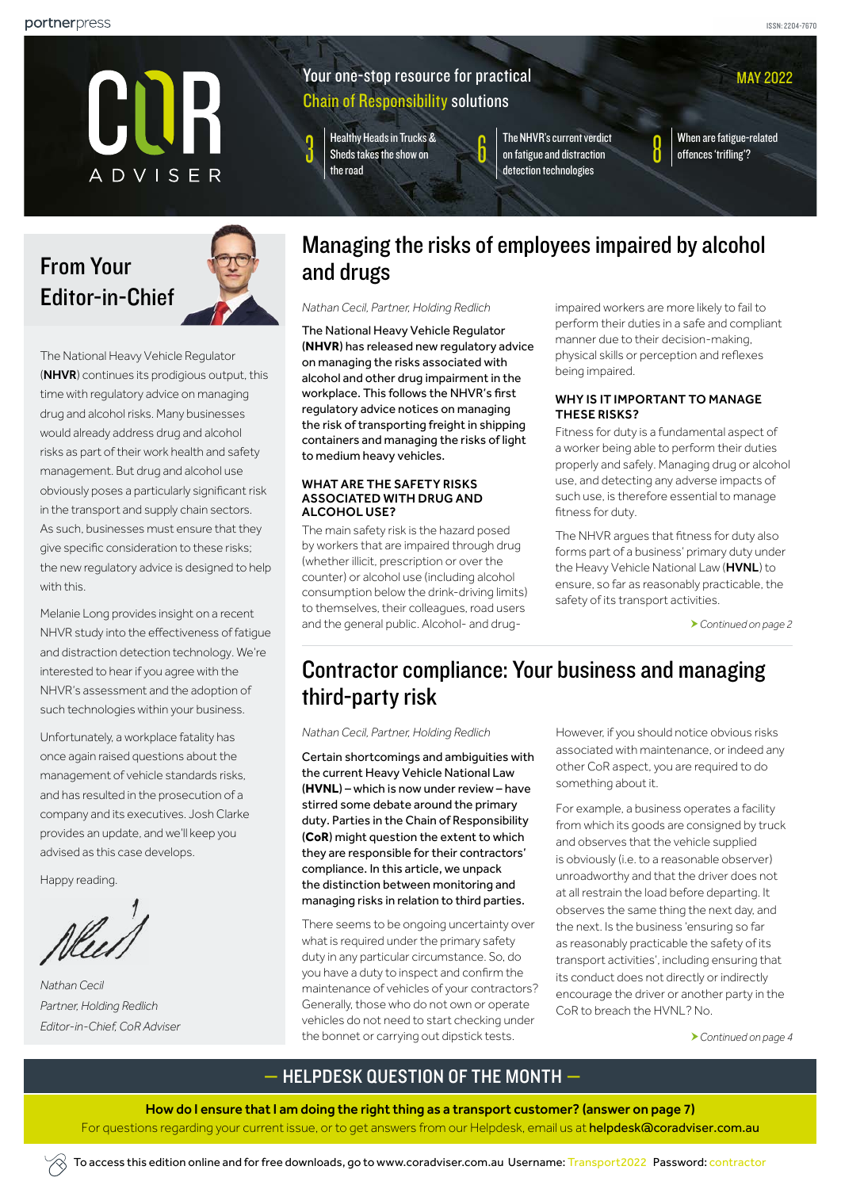MAY 2022



## Your one-stop resource for practical Chain of Responsibility solutions

3 [Healthy Heads in Trucks &](#page-2-0)  [Sheds takes the show on](#page-2-0)  [the road](#page-2-0)

The NHVR's current verdict [on fatigue and distraction](#page-5-0)  [detection technologies](#page-5-0)

When are fatigue-related [offences 'trifling'?](#page-7-0)

# From Your Editor-in-Chief



The National Heavy Vehicle Regulator (NHVR) continues its prodigious output, this time with regulatory advice on managing drug and alcohol risks. Many businesses would already address drug and alcohol risks as part of their work health and safety management. But drug and alcohol use obviously poses a particularly significant risk in the transport and supply chain sectors. As such, businesses must ensure that they give specific consideration to these risks; the new regulatory advice is designed to help with this.

Melanie Long provides insight on a recent NHVR study into the effectiveness of fatigue and distraction detection technology. We're interested to hear if you agree with the NHVR's assessment and the adoption of such technologies within your business.

Unfortunately, a workplace fatality has once again raised questions about the management of vehicle standards risks, and has resulted in the prosecution of a company and its executives. Josh Clarke provides an update, and we'll keep you advised as this case develops.

Happy reading.

*Nathan Cecil Partner, Holding Redlich Editor-in-Chief, CoR Adviser* 

## <span id="page-0-0"></span>Managing the risks of employees impaired by alcohol and drugs

*Nathan Cecil, Partner, Holding Redlich*

The National Heavy Vehicle Regulator (**NHVR**) has released new regulatory advice on managing the risks associated with alcohol and other drug impairment in the workplace. This follows the NHVR's first regulatory advice notices on managing the risk of transporting freight in shipping containers and managing the risks of light to medium heavy vehicles.

#### WHAT ARE THE SAFETY RISKS ASSOCIATED WITH DRUG AND ALCOHOL USE?

The main safety risk is the hazard posed by workers that are impaired through drug (whether illicit, prescription or over the counter) or alcohol use (including alcohol consumption below the drink-driving limits) to themselves, their colleagues, road users and the general public. Alcohol- and drugimpaired workers are more likely to fail to perform their duties in a safe and compliant manner due to their decision-making, physical skills or perception and reflexes being impaired.

### WHY IS IT IMPORTANT TO MANAGE THESE DISKS?

Fitness for duty is a fundamental aspect of a worker being able to perform their duties properly and safely. Managing drug or alcohol use, and detecting any adverse impacts of such use, is therefore essential to manage fitness for duty.

The NHVR argues that fitness for duty also forms part of a business' primary duty under the Heavy Vehicle National Law (HVNL) to ensure, so far as reasonably practicable, the safety of its transport activities.

*Continued on page 2*

## <span id="page-0-1"></span>Contractor compliance: Your business and managing third-party risk

*Nathan Cecil, Partner, Holding Redlich*

Certain shortcomings and ambiguities with the current Heavy Vehicle National Law (**HVNL**) – which is now under review – have stirred some debate around the primary duty. Parties in the Chain of Responsibility (**CoR**) might question the extent to which they are responsible for their contractors' compliance. In this article, we unpack the distinction between monitoring and managing risks in relation to third parties.

There seems to be ongoing uncertainty over what is required under the primary safety duty in any particular circumstance. So, do you have a duty to inspect and confirm the maintenance of vehicles of your contractors? Generally, those who do not own or operate vehicles do not need to start checking under the bonnet or carrying out dipstick tests.

However, if you should notice obvious risks associated with maintenance, or indeed any other CoR aspect, you are required to do something about it.

For example, a business operates a facility from which its goods are consigned by truck and observes that the vehicle supplied is obviously (i.e. to a reasonable observer) unroadworthy and that the driver does not at all restrain the load before departing. It observes the same thing the next day, and the next. Is the business 'ensuring so far as reasonably practicable the safety of its transport activities', including ensuring that its conduct does not directly or indirectly encourage the driver or another party in the CoR to breach the HVNL? No.

*[Continued on page 4](#page-3-0)*

## — HELPDESK QUESTION OF THE MONTH —

How do I ensure that I am doing the right thing as a transport customer? [\(answer on page 7\)](#page-6-0)

For questions regarding your current issue, or to get answers from our Helpdesk, email us at [helpdesk@coradviser.com.au](mailto:helpdesk%40coradviser.com.au?subject=)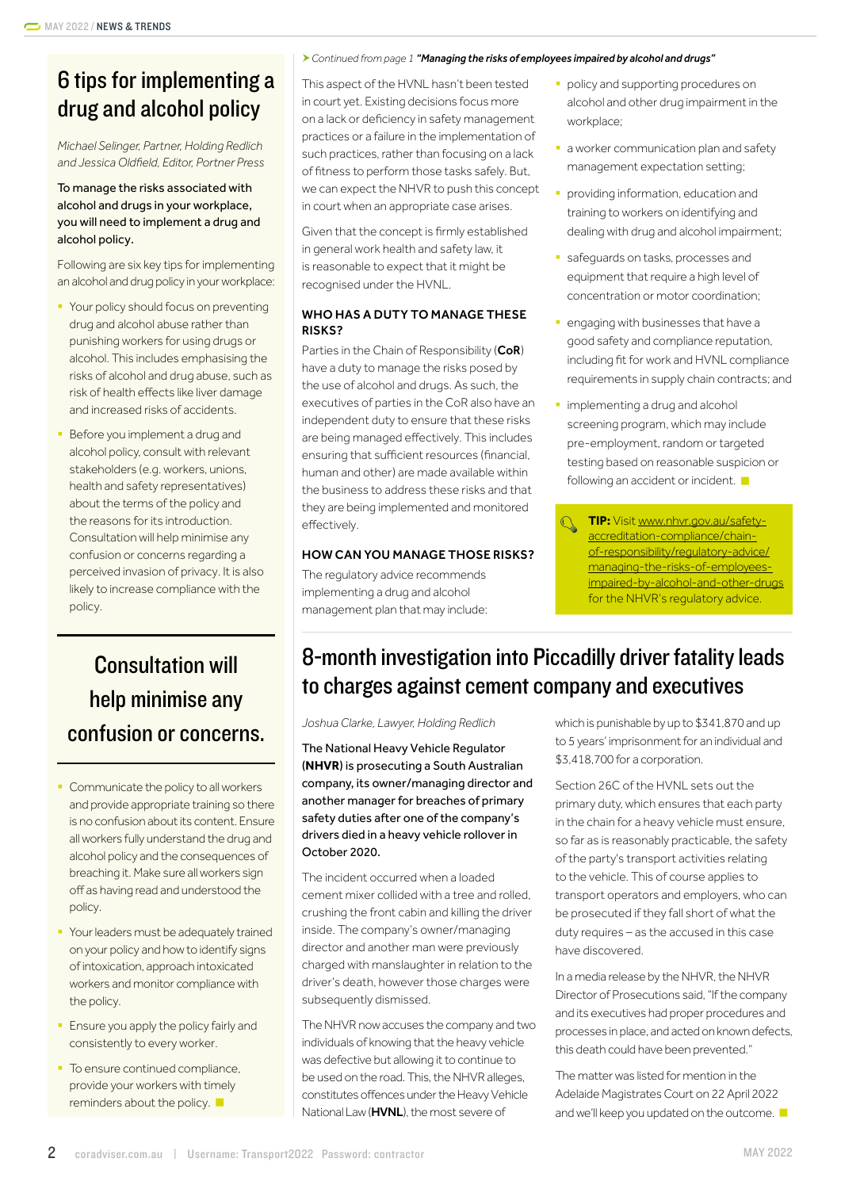## 6 tips for implementing a drug and alcohol policy

*Michael Selinger, Partner, Holding Redlich and Jessica Oldfield, Editor, Portner Press*

## To manage the risks associated with alcohol and drugs in your workplace, you will need to implement a drug and alcohol policy.

Following are six key tips for implementing an alcohol and drug policy in your workplace:

- § Your policy should focus on preventing drug and alcohol abuse rather than punishing workers for using drugs or alcohol. This includes emphasising the risks of alcohol and drug abuse, such as risk of health effects like liver damage and increased risks of accidents.
- Before you implement a drug and alcohol policy, consult with relevant stakeholders (e.g. workers, unions, health and safety representatives) about the terms of the policy and the reasons for its introduction. Consultation will help minimise any confusion or concerns regarding a perceived invasion of privacy. It is also likely to increase compliance with the policy.

# Consultation will help minimise any confusion or concerns.

- § Communicate the policy to all workers and provide appropriate training so there is no confusion about its content. Ensure all workers fully understand the drug and alcohol policy and the consequences of breaching it. Make sure all workers sign off as having read and understood the policy.
- **Your leaders must be adequately trained** on your policy and how to identify signs of intoxication, approach intoxicated workers and monitor compliance with the policy.
- **Ensure you apply the policy fairly and** consistently to every worker.
- To ensure continued compliance, provide your workers with timely reminders about the policy.

### *Continued from page 1 ["Managing the risks of employees impaired by alcohol and drugs"](#page-0-0)*

This aspect of the HVNL hasn't been tested in court yet. Existing decisions focus more on a lack or deficiency in safety management practices or a failure in the implementation of such practices, rather than focusing on a lack of fitness to perform those tasks safely. But, we can expect the NHVR to push this concept in court when an appropriate case arises.

Given that the concept is firmly established in general work health and safety law, it is reasonable to expect that it might be recognised under the HVNL.

## WHO HAS A DUTY TO MANAGE THESE RISKS?

Parties in the Chain of Responsibility (CoR) have a duty to manage the risks posed by the use of alcohol and drugs. As such, the executives of parties in the CoR also have an independent duty to ensure that these risks are being managed effectively. This includes ensuring that sufficient resources (financial, human and other) are made available within the business to address these risks and that they are being implemented and monitored effectively.

## HOW CAN YOU MANAGE THOSE RISKS?

The regulatory advice recommends implementing a drug and alcohol management plan that may include:

- **•** policy and supporting procedures on alcohol and other drug impairment in the workplace;
- **a** worker communication plan and safety management expectation setting;
- providing information, education and training to workers on identifying and dealing with drug and alcohol impairment;
- **safequards on tasks, processes and** equipment that require a high level of concentration or motor coordination;
- § engaging with businesses that have a good safety and compliance reputation, including fit for work and HVNL compliance requirements in supply chain contracts; and
- implementing a drug and alcohol screening program, which may include pre-employment, random or targeted testing based on reasonable suspicion or following an accident or incident.

**TIP:** Visit [www.nhvr.gov.au/safety](http://www.nhvr.gov.au/safety-accreditation-compliance/chain-of-responsibility/regulatory-advice/managing-the-risks-of-employees-impaired-by-alcohol-and-other-drugs)[accreditation-compliance/chain](http://www.nhvr.gov.au/safety-accreditation-compliance/chain-of-responsibility/regulatory-advice/managing-the-risks-of-employees-impaired-by-alcohol-and-other-drugs)[of-responsibility/regulatory-advice/](http://www.nhvr.gov.au/safety-accreditation-compliance/chain-of-responsibility/regulatory-advice/managing-the-risks-of-employees-impaired-by-alcohol-and-other-drugs) [managing-the-risks-of-employees](http://www.nhvr.gov.au/safety-accreditation-compliance/chain-of-responsibility/regulatory-advice/managing-the-risks-of-employees-impaired-by-alcohol-and-other-drugs)[impaired-by-alcohol-and-other-drugs](http://www.nhvr.gov.au/safety-accreditation-compliance/chain-of-responsibility/regulatory-advice/managing-the-risks-of-employees-impaired-by-alcohol-and-other-drugs) for the NHVR's regulatory advice.

# 8-month investigation into Piccadilly driver fatality leads to charges against cement company and executives

*Joshua Clarke, Lawyer, Holding Redlich*

The National Heavy Vehicle Regulator (**NHVR**) is prosecuting a South Australian company, its owner/managing director and another manager for breaches of primary safety duties after one of the company's drivers died in a heavy vehicle rollover in October 2020.

The incident occurred when a loaded cement mixer collided with a tree and rolled, crushing the front cabin and killing the driver inside. The company's owner/managing director and another man were previously charged with manslaughter in relation to the driver's death, however those charges were subsequently dismissed.

The NHVR now accuses the company and two individuals of knowing that the heavy vehicle was defective but allowing it to continue to be used on the road. This, the NHVR alleges, constitutes offences under the Heavy Vehicle National Law (**HVNL**), the most severe of

which is punishable by up to \$341,870 and up to 5 years' imprisonment for an individual and \$3,418,700 for a corporation.

Section 26C of the HVNL sets out the primary duty, which ensures that each party in the chain for a heavy vehicle must ensure, so far as is reasonably practicable, the safety of the party's transport activities relating to the vehicle. This of course applies to transport operators and employers, who can be prosecuted if they fall short of what the duty requires – as the accused in this case have discovered.

In a media release by the NHVR, the NHVR Director of Prosecutions said, "If the company and its executives had proper procedures and processes in place, and acted on known defects, this death could have been prevented."

The matter was listed for mention in the Adelaide Magistrates Court on 22 April 2022 and we'll keep you updated on the outcome.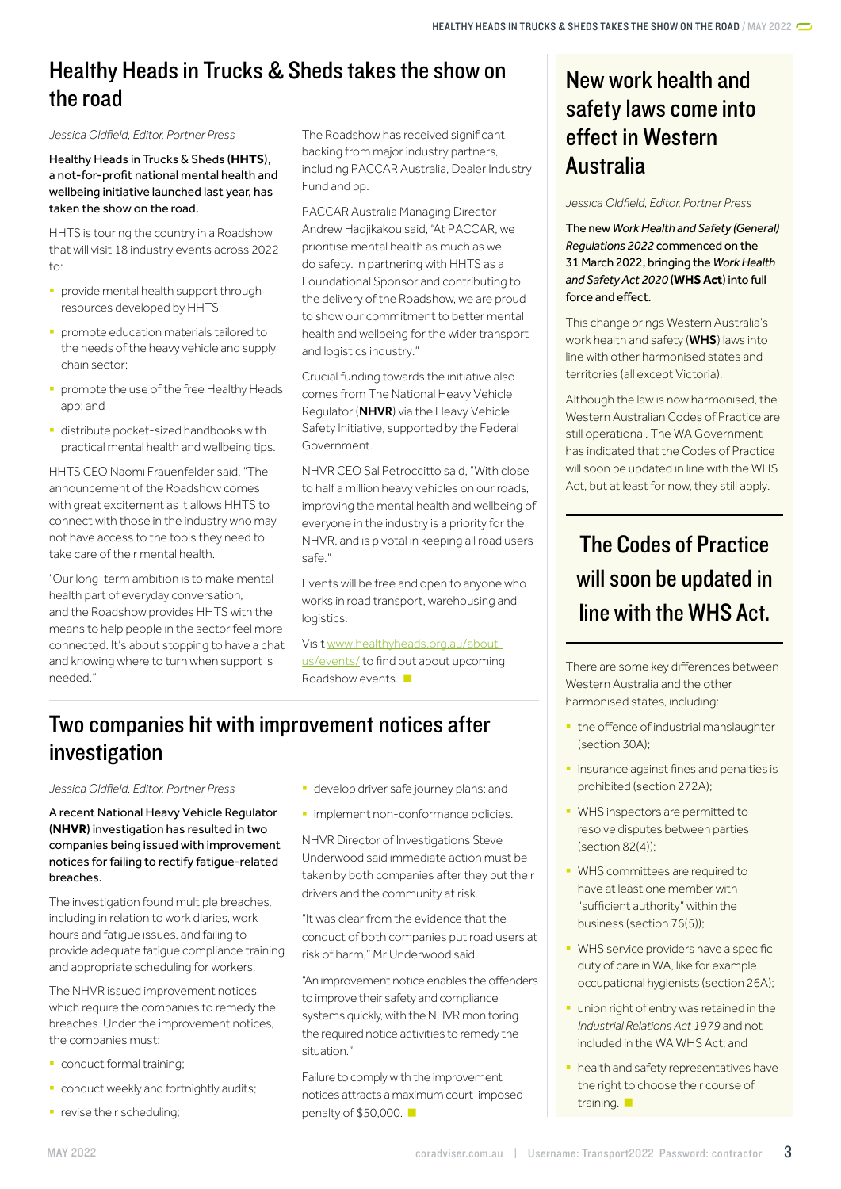## <span id="page-2-0"></span>Healthy Heads in Trucks & Sheds takes the show on the road

*Jessica Oldfield, Editor, Portner Press*

Healthy Heads in Trucks & Sheds (**HHTS**), a not-for-profit national mental health and wellbeing initiative launched last year, has taken the show on the road.

HHTS is touring the country in a Roadshow that will visit 18 industry events across 2022  $t \cap$ 

- § provide mental health support through resources developed by HHTS;
- § promote education materials tailored to the needs of the heavy vehicle and supply chain sector;
- **•** promote the use of the free Healthy Heads app; and
- § distribute pocket-sized handbooks with practical mental health and wellbeing tips.

HHTS CEO Naomi Frauenfelder said, "The announcement of the Roadshow comes with great excitement as it allows HHTS to connect with those in the industry who may not have access to the tools they need to take care of their mental health.

"Our long-term ambition is to make mental health part of everyday conversation, and the Roadshow provides HHTS with the means to help people in the sector feel more connected. It's about stopping to have a chat and knowing where to turn when support is needed."

The Roadshow has received significant backing from major industry partners, including PACCAR Australia, Dealer Industry Fund and bp.

PACCAR Australia Managing Director Andrew Hadjikakou said, "At PACCAR, we prioritise mental health as much as we do safety. In partnering with HHTS as a Foundational Sponsor and contributing to the delivery of the Roadshow, we are proud to show our commitment to better mental health and wellbeing for the wider transport and logistics industry."

Crucial funding towards the initiative also comes from The National Heavy Vehicle Regulator (NHVR) via the Heavy Vehicle Safety Initiative, supported by the Federal Government.

NHVR CEO Sal Petroccitto said, "With close to half a million heavy vehicles on our roads, improving the mental health and wellbeing of everyone in the industry is a priority for the NHVR, and is pivotal in keeping all road users safe."

Events will be free and open to anyone who works in road transport, warehousing and logistics.

Visit [www.healthyheads.org.au/about](http://www.healthyheads.org.au/about-us/events/)[us/events/](http://www.healthyheads.org.au/about-us/events/) to find out about upcoming Roadshow events.

## Two companies hit with improvement notices after investigation

*Jessica Oldfield, Editor, Portner Press*

A recent National Heavy Vehicle Regulator (**NHVR**) investigation has resulted in two companies being issued with improvement notices for failing to rectify fatigue-related breaches.

The investigation found multiple breaches, including in relation to work diaries, work hours and fatigue issues, and failing to provide adequate fatigue compliance training and appropriate scheduling for workers.

The NHVR issued improvement notices, which require the companies to remedy the breaches. Under the improvement notices, the companies must:

- **•** conduct formal training;
- **•** conduct weekly and fortnightly audits;
- **•** revise their scheduling;
- **•** develop driver safe journey plans; and
- **·** implement non-conformance policies.

NHVR Director of Investigations Steve Underwood said immediate action must be taken by both companies after they put their drivers and the community at risk.

"It was clear from the evidence that the conduct of both companies put road users at risk of harm," Mr Underwood said.

"An improvement notice enables the offenders to improve their safety and compliance systems quickly, with the NHVR monitoring the required notice activities to remedy the situation."

Failure to comply with the improvement notices attracts a maximum court-imposed penalty of \$50,000.

## New work health and safety laws come into effect in Western Australia

*Jessica Oldfield, Editor, Portner Press*

The new *Work Health and Safety (General) Regulations 2022* commenced on the 31 March 2022, bringing the *Work Health and Safety Act 2020* (**WHS Act**) into full force and effect.

This change brings Western Australia's work health and safety (**WHS**) laws into line with other harmonised states and territories (all except Victoria).

Although the law is now harmonised, the Western Australian Codes of Practice are still operational. The WA Government has indicated that the Codes of Practice will soon be updated in line with the WHS Act, but at least for now, they still apply.

# The Codes of Practice will soon be updated in line with the WHS Act.

There are some key differences between Western Australia and the other harmonised states, including:

- **the offence of industrial manslaughter** (section 30A);
- **insurance against fines and penalties is** prohibited (section 272A);
- § WHS inspectors are permitted to resolve disputes between parties  $(s$ ection 82 $(4)$ );
- § WHS committees are required to have at least one member with "sufficient authority" within the business (section 76(5));
- § WHS service providers have a specific duty of care in WA, like for example occupational hygienists (section 26A);
- **•** union right of entry was retained in the *Industrial Relations Act 1979* and not included in the WA WHS Act; and
- **health and safety representatives have** the right to choose their course of training.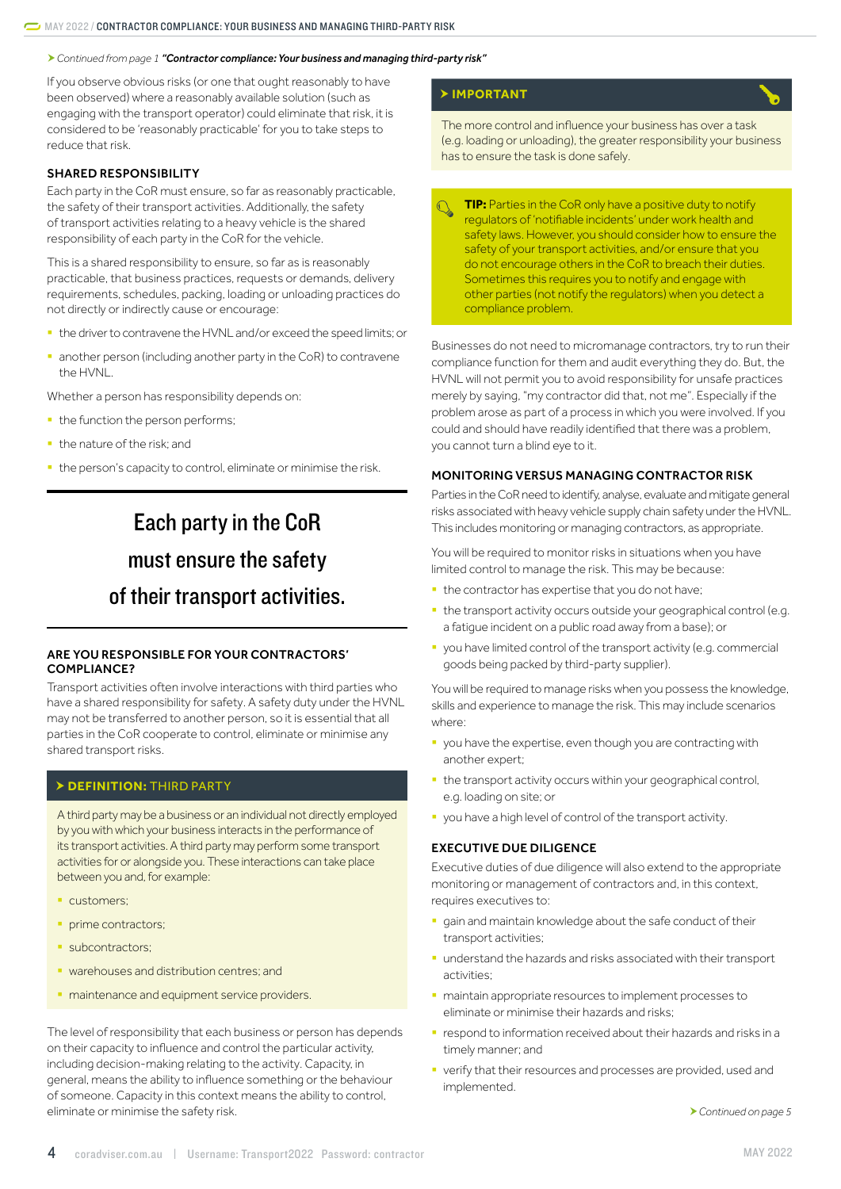<span id="page-3-0"></span>*Continued from page 1 "[Contractor compliance: Your business and managing third-party risk](#page-0-1)"*

If you observe obvious risks (or one that ought reasonably to have been observed) where a reasonably available solution (such as engaging with the transport operator) could eliminate that risk, it is considered to be 'reasonably practicable' for you to take steps to reduce that risk.

#### SHARED RESPONSIBILITY

Each party in the CoR must ensure, so far as reasonably practicable, the safety of their transport activities. Additionally, the safety of transport activities relating to a heavy vehicle is the shared responsibility of each party in the CoR for the vehicle.

This is a shared responsibility to ensure, so far as is reasonably practicable, that business practices, requests or demands, delivery requirements, schedules, packing, loading or unloading practices do not directly or indirectly cause or encourage:

- the driver to contravene the HVNL and/or exceed the speed limits; or
- another person (including another party in the CoR) to contravene the HVNL.

Whether a person has responsibility depends on:

- the function the person performs;
- the nature of the risk; and
- the person's capacity to control, eliminate or minimise the risk.

# Each party in the CoR must ensure the safety of their transport activities.

### ARE YOU RESPONSIBLE FOR YOUR CONTRACTORS' COMPLIANCE?

Transport activities often involve interactions with third parties who have a shared responsibility for safety. A safety duty under the HVNL may not be transferred to another person, so it is essential that all parties in the CoR cooperate to control, eliminate or minimise any shared transport risks.

## **DEFINITION:** THIRD PARTY

A third party may be a business or an individual not directly employed by you with which your business interacts in the performance of its transport activities. A third party may perform some transport activities for or alongside you. These interactions can take place between you and, for example:

- customers;
- prime contractors;
- subcontractors;
- warehouses and distribution centres; and
- maintenance and equipment service providers.

The level of responsibility that each business or person has depends on their capacity to influence and control the particular activity, including decision-making relating to the activity. Capacity, in general, means the ability to influence something or the behaviour of someone. Capacity in this context means the ability to control, eliminate or minimise the safety risk.

### **IMPORTANT**

The more control and influence your business has over a task (e.g. loading or unloading), the greater responsibility your business has to ensure the task is done safely.

**TIP:** Parties in the CoR only have a positive duty to notify regulators of 'notifiable incidents' under work health and safety laws. However, you should consider how to ensure the safety of your transport activities, and/or ensure that you do not encourage others in the CoR to breach their duties. Sometimes this requires you to notify and engage with other parties (not notify the regulators) when you detect a compliance problem.

Businesses do not need to micromanage contractors, try to run their compliance function for them and audit everything they do. But, the HVNL will not permit you to avoid responsibility for unsafe practices merely by saying, "my contractor did that, not me". Especially if the problem arose as part of a process in which you were involved. If you could and should have readily identified that there was a problem, you cannot turn a blind eye to it.

### MONITORING VERSUS MANAGING CONTRACTOR RISK

Parties in the CoR need to identify, analyse, evaluate and mitigate general risks associated with heavy vehicle supply chain safety under the HVNL. This includes monitoring or managing contractors, as appropriate.

You will be required to monitor risks in situations when you have limited control to manage the risk. This may be because:

- **the contractor has expertise that you do not have;**
- the transport activity occurs outside your geographical control (e.g. a fatigue incident on a public road away from a base); or
- § you have limited control of the transport activity (e.g. commercial goods being packed by third-party supplier).

You will be required to manage risks when you possess the knowledge, skills and experience to manage the risk. This may include scenarios where:

- § you have the expertise, even though you are contracting with another expert;
- the transport activity occurs within your geographical control, e.g. loading on site; or
- **•** you have a high level of control of the transport activity.

### EXECUTIVE DUE DILIGENCE

Executive duties of due diligence will also extend to the appropriate monitoring or management of contractors and, in this context, requires executives to:

- gain and maintain knowledge about the safe conduct of their transport activities;
- understand the hazards and risks associated with their transport activities;
- § maintain appropriate resources to implement processes to eliminate or minimise their hazards and risks;
- **•** respond to information received about their hazards and risks in a timely manner; and
- verify that their resources and processes are provided, used and implemented.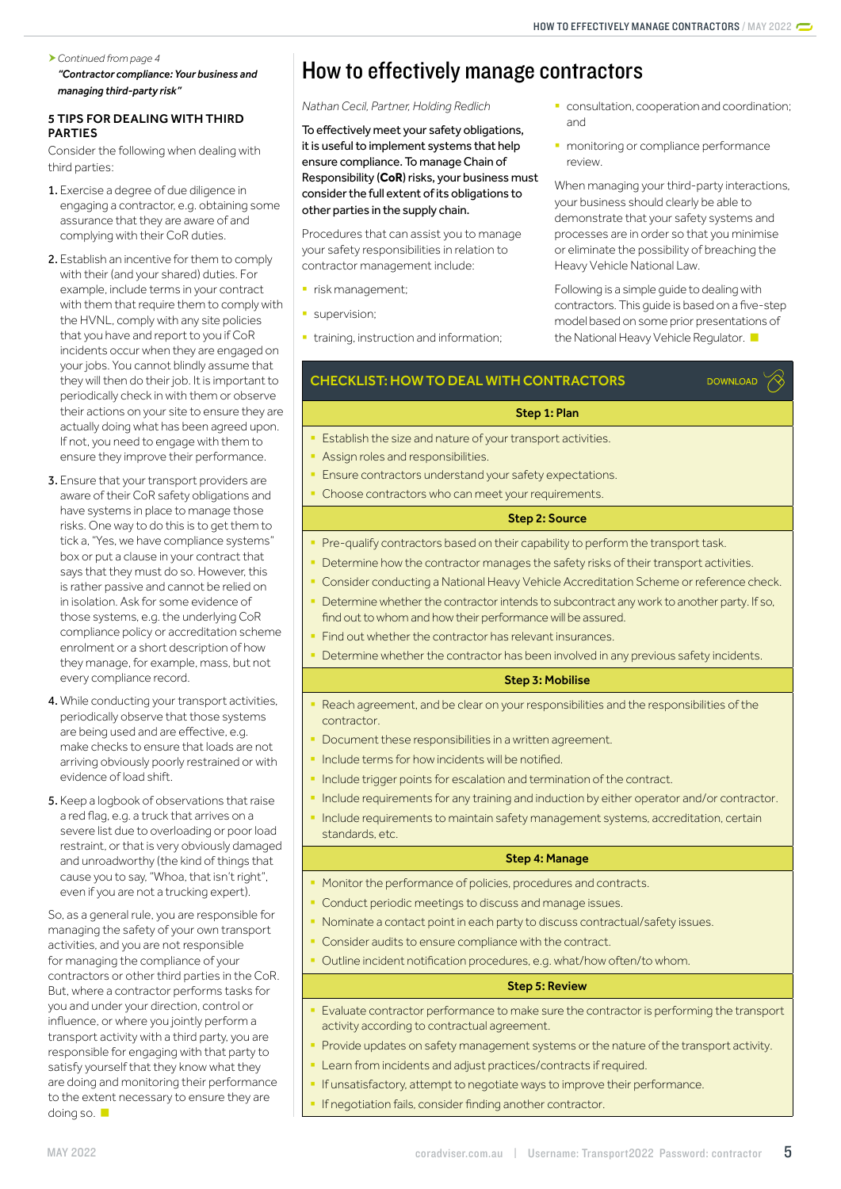#### *Continued from page 4 ["Contractor compliance: Your business and](#page-0-1)*

*[managing third-party risk](#page-0-1)"*

## 5 TIPS FOR DEALING WITH THIRD PARTIES

Consider the following when dealing with third parties:

- 1. Exercise a degree of due diligence in engaging a contractor, e.g. obtaining some assurance that they are aware of and complying with their CoR duties.
- 2. Establish an incentive for them to comply with their (and your shared) duties. For example, include terms in your contract with them that require them to comply with the HVNL, comply with any site policies that you have and report to you if CoR incidents occur when they are engaged on your jobs. You cannot blindly assume that they will then do their job. It is important to periodically check in with them or observe their actions on your site to ensure they are actually doing what has been agreed upon. If not, you need to engage with them to ensure they improve their performance.
- 3. Ensure that your transport providers are aware of their CoR safety obligations and have systems in place to manage those risks. One way to do this is to get them to tick a, "Yes, we have compliance systems" box or put a clause in your contract that says that they must do so. However, this is rather passive and cannot be relied on in isolation. Ask for some evidence of those systems, e.g. the underlying CoR compliance policy or accreditation scheme enrolment or a short description of how they manage, for example, mass, but not every compliance record.
- 4. While conducting your transport activities, periodically observe that those systems are being used and are effective, e.g. make checks to ensure that loads are not arriving obviously poorly restrained or with evidence of load shift.
- 5. Keep a logbook of observations that raise a red flag, e.g. a truck that arrives on a severe list due to overloading or poor load restraint, or that is very obviously damaged and unroadworthy (the kind of things that cause you to say, "Whoa, that isn't right", even if you are not a trucking expert).

So, as a general rule, you are responsible for managing the safety of your own transport activities, and you are not responsible for managing the compliance of your contractors or other third parties in the CoR. But, where a contractor performs tasks for you and under your direction, control or influence, or where you jointly perform a transport activity with a third party, you are responsible for engaging with that party to satisfy yourself that they know what they are doing and monitoring their performance to the extent necessary to ensure they are doing so.

# <span id="page-4-0"></span>How to effectively manage contractors

## *Nathan Cecil, Partner, Holding Redlich*

To effectively meet your safety obligations, it is useful to implement systems that help ensure compliance. To manage Chain of Responsibility (**CoR**) risks, your business must consider the full extent of its obligations to other parties in the supply chain.

Procedures that can assist you to manage your safety responsibilities in relation to contractor management include:

- **·** risk management;
- **supervision;**
- **•** training, instruction and information;
- **consultation, cooperation and coordination;** and
- **monitoring or compliance performance** review.

When managing your third-party interactions, your business should clearly be able to demonstrate that your safety systems and processes are in order so that you minimise or eliminate the possibility of breaching the Heavy Vehicle National Law.

Following is a simple guide to dealing with contractors. This guide is based on a five-step model based on some prior presentations of the National Heavy Vehicle Regulator.

**DOWNLOAD** 

## CHECKLIST: HOW TO DEAL WITH CONTRACTORS

## Step 1: Plan

- Establish the size and nature of your transport activities.
- § Assign roles and responsibilities.
- Ensure contractors understand your safety expectations.
- Choose contractors who can meet your requirements.

## Step 2: Source

- Pre-qualify contractors based on their capability to perform the transport task.
- Determine how the contractor manages the safety risks of their transport activities.
- Consider conducting a National Heavy Vehicle Accreditation Scheme or reference check.
- Determine whether the contractor intends to subcontract any work to another party. If so, find out to whom and how their performance will be assured.
- Find out whether the contractor has relevant insurances.
- Determine whether the contractor has been involved in any previous safety incidents.

## Step 3: Mobilise

- Reach agreement, and be clear on your responsibilities and the responsibilities of the contractor.
- Document these responsibilities in a written agreement.
- Include terms for how incidents will be notified.
- Include trigger points for escalation and termination of the contract.
- Include requirements for any training and induction by either operator and/or contractor.
- Include requirements to maintain safety management systems, accreditation, certain standards, etc.

## Step 4: Manage

- Monitor the performance of policies, procedures and contracts.
- § Conduct periodic meetings to discuss and manage issues.
- § Nominate a contact point in each party to discuss contractual/safety issues.
- Consider audits to ensure compliance with the contract.
- Outline incident notification procedures, e.g. what/how often/to whom.

## Step 5: Review

- Evaluate contractor performance to make sure the contractor is performing the transport activity according to contractual agreement.
- Provide updates on safety management systems or the nature of the transport activity.
- Learn from incidents and adjust practices/contracts if required.
	- If unsatisfactory, attempt to negotiate ways to improve their performance.
	- If negotiation fails, consider finding another contractor.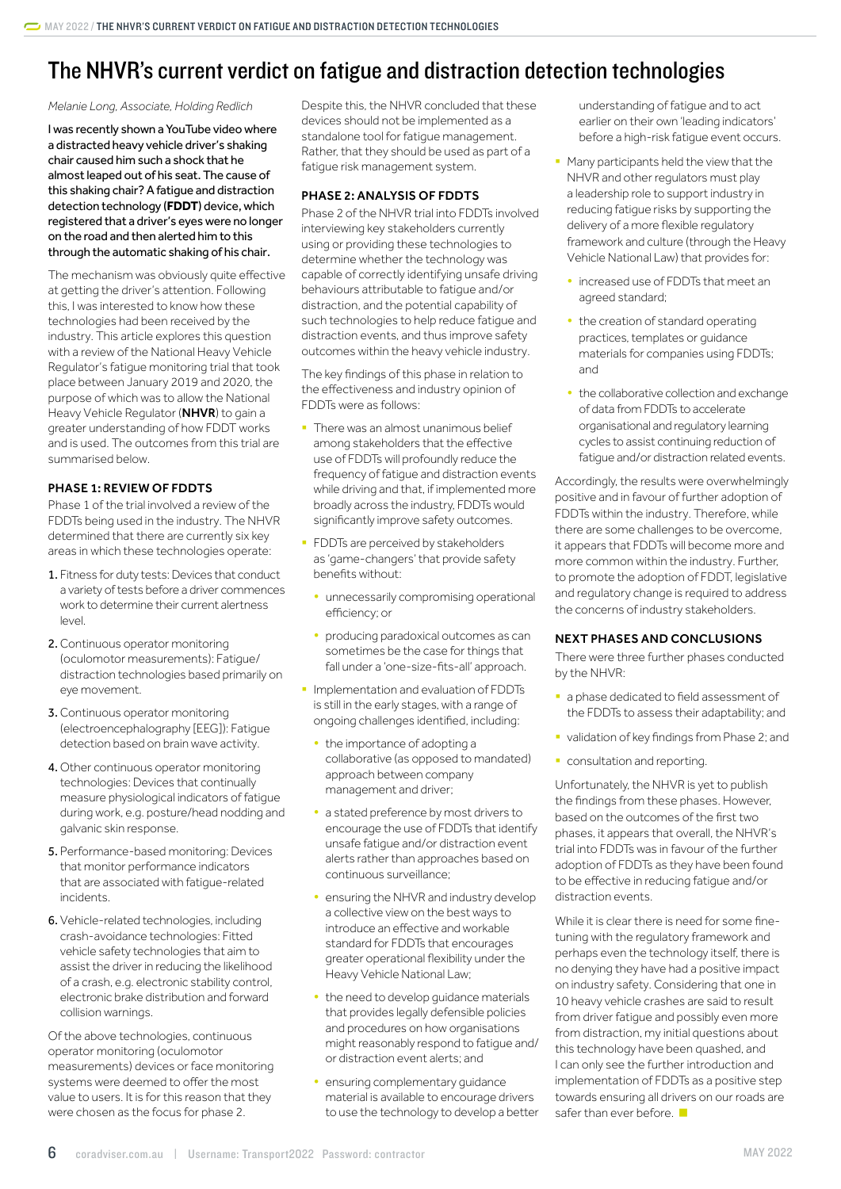## <span id="page-5-0"></span>The NHVR's current verdict on fatigue and distraction detection technologies

#### *Melanie Long, Associate, Holding Redlich*

I was recently shown a YouTube video where a distracted heavy vehicle driver's shaking chair caused him such a shock that he almost leaped out of his seat. The cause of this shaking chair? A fatigue and distraction detection technology (**FDDT**) device, which registered that a driver's eyes were no longer on the road and then alerted him to this through the automatic shaking of his chair.

The mechanism was obviously quite effective at getting the driver's attention. Following this, I was interested to know how these technologies had been received by the industry. This article explores this question with a review of the National Heavy Vehicle Regulator's fatigue monitoring trial that took place between January 2019 and 2020, the purpose of which was to allow the National Heavy Vehicle Regulator (NHVR) to gain a greater understanding of how FDDT works and is used. The outcomes from this trial are summarised below.

### PHASE 1: REVIEW OF FDDTS

Phase 1 of the trial involved a review of the FDDTs being used in the industry. The NHVR determined that there are currently six key areas in which these technologies operate:

- 1. Fitness for duty tests: Devices that conduct a variety of tests before a driver commences work to determine their current alertness level.
- 2.Continuous operator monitoring (oculomotor measurements): Fatigue/ distraction technologies based primarily on eye movement.
- 3.Continuous operator monitoring (electroencephalography [EEG]): Fatigue detection based on brain wave activity.
- 4. Other continuous operator monitoring technologies: Devices that continually measure physiological indicators of fatigue during work, e.g. posture/head nodding and galvanic skin response.
- 5. Performance-based monitoring: Devices that monitor performance indicators that are associated with fatigue-related incidents.
- 6. Vehicle-related technologies, including crash-avoidance technologies: Fitted vehicle safety technologies that aim to assist the driver in reducing the likelihood of a crash, e.g. electronic stability control, electronic brake distribution and forward collision warnings.

Of the above technologies, continuous operator monitoring (oculomotor measurements) devices or face monitoring systems were deemed to offer the most value to users. It is for this reason that they were chosen as the focus for phase 2.

Despite this, the NHVR concluded that these devices should not be implemented as a standalone tool for fatigue management. Rather, that they should be used as part of a fatigue risk management system.

### PHASE 2: ANALYSIS OF FDDTS

Phase 2 of the NHVR trial into FDDTs involved interviewing key stakeholders currently using or providing these technologies to determine whether the technology was capable of correctly identifying unsafe driving behaviours attributable to fatigue and/or distraction, and the potential capability of such technologies to help reduce fatigue and distraction events, and thus improve safety outcomes within the heavy vehicle industry.

The key findings of this phase in relation to the effectiveness and industry opinion of FDDTs were as follows:

- There was an almost unanimous belief among stakeholders that the effective use of FDDTs will profoundly reduce the frequency of fatigue and distraction events while driving and that, if implemented more broadly across the industry, FDDTs would significantly improve safety outcomes.
- **FDDTs are perceived by stakeholders** as 'game-changers' that provide safety benefits without:
	- unnecessarily compromising operational efficiency; or
	- producing paradoxical outcomes as can sometimes be the case for things that fall under a 'one-size-fits-all' approach.
- § Implementation and evaluation of FDDTs is still in the early stages, with a range of ongoing challenges identified, including:
	- the importance of adopting a collaborative (as opposed to mandated) approach between company management and driver;
	- a stated preference by most drivers to encourage the use of FDDTs that identify unsafe fatigue and/or distraction event alerts rather than approaches based on continuous surveillance;
	- ensuring the NHVR and industry develop a collective view on the best ways to introduce an effective and workable standard for FDDTs that encourages greater operational flexibility under the Heavy Vehicle National Law;
	- the need to develop guidance materials that provides legally defensible policies and procedures on how organisations might reasonably respond to fatigue and/ or distraction event alerts; and
	- ensuring complementary guidance material is available to encourage drivers to use the technology to develop a better

understanding of fatigue and to act earlier on their own 'leading indicators' before a high-risk fatigue event occurs.

- Many participants held the view that the NHVR and other regulators must play a leadership role to support industry in reducing fatigue risks by supporting the delivery of a more flexible regulatory framework and culture (through the Heavy Vehicle National Law) that provides for:
- increased use of FDDTs that meet an agreed standard;
- the creation of standard operating practices, templates or guidance materials for companies using FDDTs; and
- the collaborative collection and exchange of data from FDDTs to accelerate organisational and regulatory learning cycles to assist continuing reduction of fatigue and/or distraction related events.

Accordingly, the results were overwhelmingly positive and in favour of further adoption of FDDTs within the industry. Therefore, while there are some challenges to be overcome, it appears that FDDTs will become more and more common within the industry. Further, to promote the adoption of FDDT, legislative and regulatory change is required to address the concerns of industry stakeholders.

## NEXT PHASES AND CONCLUSIONS

There were three further phases conducted by the NHVR:

- a phase dedicated to field assessment of the FDDTs to assess their adaptability; and
- validation of key findings from Phase 2; and
- consultation and reporting.

Unfortunately, the NHVR is yet to publish the findings from these phases. However, based on the outcomes of the first two phases, it appears that overall, the NHVR's trial into FDDTs was in favour of the further adoption of FDDTs as they have been found to be effective in reducing fatigue and/or distraction events.

While it is clear there is need for some finetuning with the regulatory framework and perhaps even the technology itself, there is no denying they have had a positive impact on industry safety. Considering that one in 10 heavy vehicle crashes are said to result from driver fatigue and possibly even more from distraction, my initial questions about this technology have been quashed, and I can only see the further introduction and implementation of FDDTs as a positive step towards ensuring all drivers on our roads are safer than ever before.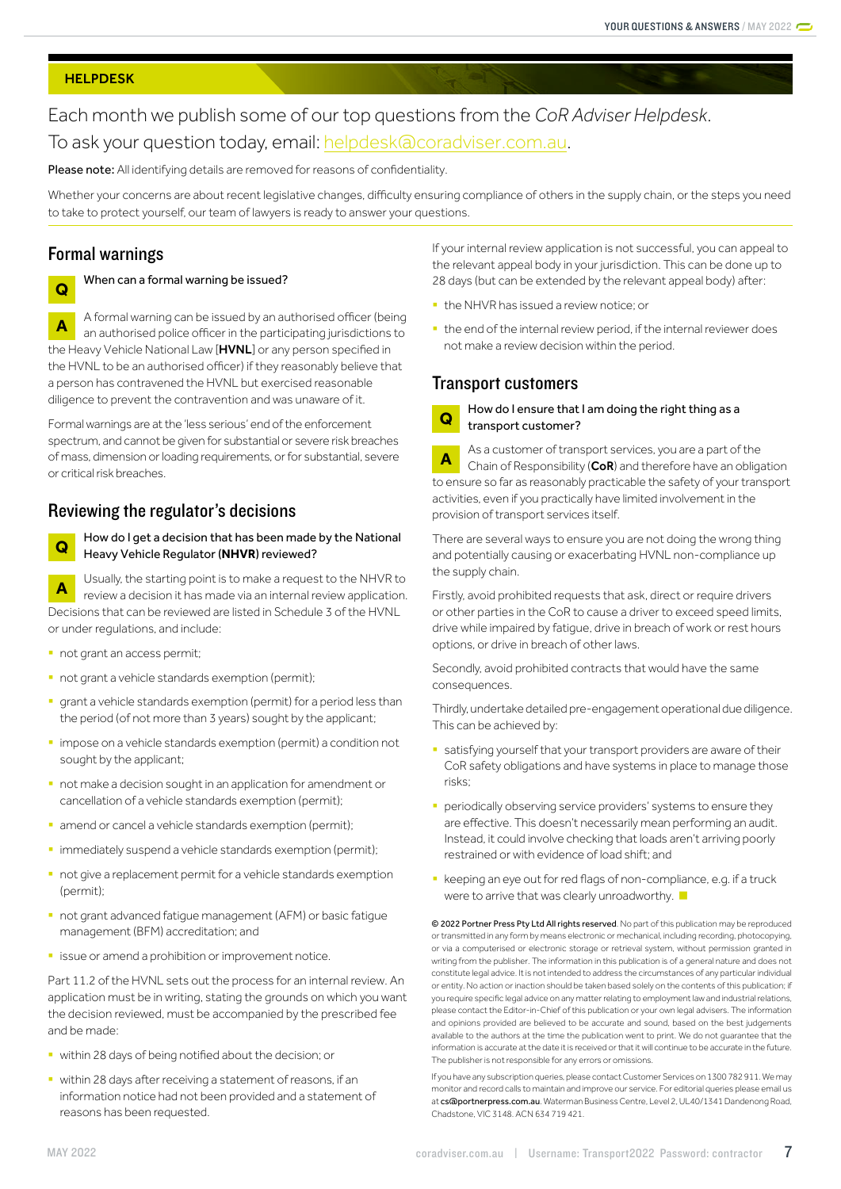#### <span id="page-6-0"></span>**HELPDESK**

## Each month we publish some of our top questions from the *CoR Adviser Helpdesk*. To ask your question today, email: [helpdesk@coradviser.com.au](mailto:helpdesk%40coradviser.com.au?subject=).

Please note: All identifying details are removed for reasons of confidentiality.

Whether your concerns are about recent legislative changes, difficulty ensuring compliance of others in the supply chain, or the steps you need to take to protect yourself, our team of lawyers is ready to answer your questions.

## Formal warnings

## **Q** When can a formal warning be issued?

**A** A formal warning can be issued by an authorised officer (being<br>an authorised police officer in the positivised privated integrate an authorised police officer in the participating jurisdictions to the Heavy Vehicle National Law [HVNL] or any person specified in the HVNL to be an authorised officer) if they reasonably believe that a person has contravened the HVNL but exercised reasonable diligence to prevent the contravention and was unaware of it.

Formal warnings are at the 'less serious' end of the enforcement spectrum, and cannot be given for substantial or severe risk breaches of mass, dimension or loading requirements, or for substantial, severe or critical risk breaches.

## Reviewing the regulator's decisions



**Q** How do I get a decision that has been made by the National Heavy Vehicle Regulator (**NHVR**) reviewed?

**A** Usually, the starting point is to make a request to the NHVR to review a decision it has made via an internal review application. Decisions that can be reviewed are listed in Schedule 3 of the HVNL or under regulations, and include:

- § not grant an access permit;
- not grant a vehicle standards exemption (permit);
- grant a vehicle standards exemption (permit) for a period less than the period (of not more than 3 years) sought by the applicant;
- impose on a vehicle standards exemption (permit) a condition not sought by the applicant;
- not make a decision sought in an application for amendment or cancellation of a vehicle standards exemption (permit);
- amend or cancel a vehicle standards exemption (permit);
- **·** immediately suspend a vehicle standards exemption (permit);
- not give a replacement permit for a vehicle standards exemption (permit);
- not grant advanced fatigue management (AFM) or basic fatigue management (BFM) accreditation; and
- issue or amend a prohibition or improvement notice.

Part 11.2 of the HVNL sets out the process for an internal review. An application must be in writing, stating the grounds on which you want the decision reviewed, must be accompanied by the prescribed fee and be made:

- § within 28 days of being notified about the decision; or
- within 28 days after receiving a statement of reasons, if an information notice had not been provided and a statement of reasons has been requested.

If your internal review application is not successful, you can appeal to the relevant appeal body in your jurisdiction. This can be done up to 28 days (but can be extended by the relevant appeal body) after:

- the NHVR has issued a review notice; or
- the end of the internal review period, if the internal reviewer does not make a review decision within the period.

## Transport customers

**Q** How do I ensure that I am doing the right thing as a transport customer?

**A** As a customer of transport services, you are a part of the Chain of Responsibility (CoR) and therefore have an obligation to ensure so far as reasonably practicable the safety of your transport activities, even if you practically have limited involvement in the provision of transport services itself.

There are several ways to ensure you are not doing the wrong thing and potentially causing or exacerbating HVNL non-compliance up the supply chain.

Firstly, avoid prohibited requests that ask, direct or require drivers or other parties in the CoR to cause a driver to exceed speed limits, drive while impaired by fatigue, drive in breach of work or rest hours options, or drive in breach of other laws.

Secondly, avoid prohibited contracts that would have the same consequences.

Thirdly, undertake detailed pre-engagement operational due diligence. This can be achieved by:

- **•** satisfying yourself that your transport providers are aware of their CoR safety obligations and have systems in place to manage those risks;
- periodically observing service providers' systems to ensure they are effective. This doesn't necessarily mean performing an audit. Instead, it could involve checking that loads aren't arriving poorly restrained or with evidence of load shift; and
- keeping an eye out for red flags of non-compliance, e.g. if a truck were to arrive that was clearly unroadworthy.

© 2022 Portner Press Pty Ltd All rights reserved. No part of this publication may be reproduced or transmitted in any form by means electronic or mechanical, including recording, photocopying, or via a computerised or electronic storage or retrieval system, without permission granted in writing from the publisher. The information in this publication is of a general nature and does not constitute legal advice. It is not intended to address the circumstances of any particular individual or entity. No action or inaction should be taken based solely on the contents of this publication; if you require specific legal advice on any matter relating to employment law and industrial relations, please contact the Editor-in-Chief of this publication or your own legal advisers. The information and opinions provided are believed to be accurate and sound, based on the best judgements available to the authors at the time the publication went to print. We do not guarantee that the information is accurate at the date it is received or that it will continue to be accurate in the future. The publisher is not responsible for any errors or omissions.

If you have any subscription queries, please contact Customer Services on 1300 782 911. We may monitor and record calls to maintain and improve our service. For editorial queries please email us at [cs@portnerpress.com.au](mailto:cs%40portnerpress.com.au?subject=). Waterman Business Centre, Level 2, UL40/1341 Dandenong Road, Chadstone, VIC 3148. ACN 634 719 421.